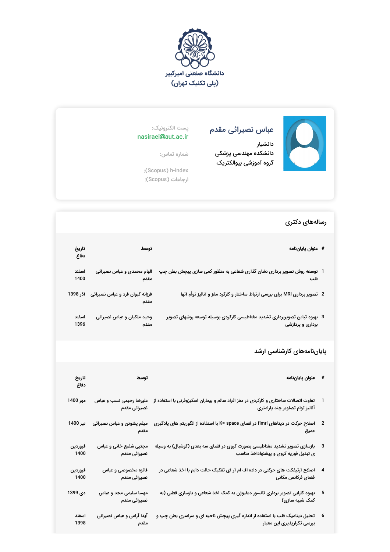



## عباس نصیرائی مقدم

دانشیار دانشکده مهندسی پزشکی گروه آموزشی بیوالکتریک

## پست الکترونیک: nasiraei@aut.ac.ir

شماره تماس:

:(Scopus) h-index ارجاعات (Scopus):

## رسالههای دکتری

| # عنوان پایاننامه                                                             | توسط                                             | تاريخ<br>دفاع |
|-------------------------------------------------------------------------------|--------------------------------------------------|---------------|
| 1   توسعه روش تصویر برداری نشان گذاری شعاعی به منظور کمی سازی پیچش بطن چپ     | الهام محمدی و عباس نصیرائی                       | اسفند         |
| قلب                                                                           | مقدم                                             | 1400          |
| 2   تصویر برداری MRI برای بررسی ارتباط ساختار و کارکرد مغز و آنالیز توأم آنها | فرزانه کیوان فرد و عباس نصیرائی آذر 1398<br>مقدم |               |
| 3٪ بهبود تباین تصویربرداری تشدید مغناطیسی کارکردی بوسیله توسعه روشهای تصویر   | وحید ملکیان و عباس نصیرائی                       | اسفند         |
| برداری و پردازشی                                                              | مقدم                                             | 1396          |

## پایاننامههای کارشناسی ارشد

| # عنوان پاياننامه                                                                                                                                  | توسط                                   | تاريخ<br>دفاع   |
|----------------------------------------------------------------------------------------------------------------------------------------------------|----------------------------------------|-----------------|
| تفاوت اتصالات ساختاری و کارکردی در مغز افراد سالم و بیماران اسکیزوفرنی با استفاده از    علیرضا رحیمی نسب و عباس<br>آنالیز توام تصاویر چند پارامتری | نصیرائی مقدم                           | مهر 1400        |
| اصلاح حرکت در دیتاهای fimri در فضای K= space با استفاده از الگوریتم های یادگیری<br>عميق                                                            | میثم پشوتن و عباس نصیرائی<br>مقدم      | تير 1400        |
| 3     بازسازی تصویر تشدید مغناطیسی بصورت کروی در فضای سه بعدی (کوشبال) به وسیله<br>ی تبدیل فوریه کروی و پیشنهاداخذ مناسب                           | مجتبی شفیع خانی و عباس<br>نصیرائی مقدم | فروردين<br>1400 |
| اصلاح آرتیفکت های حرکتی در داده اف ام آر آی تفکیک حالت دایم با اخذ شعاعی در<br>فضاى فركانس مكانى                                                   | فائزه مخصوصی و عباس<br>نصیرائی مقدم    | فروردين<br>1400 |
| 5 ٪ بهبود کارایی تصویر برداری تانسور دیفیوژن به کمک اخذ شعاعی و بازسازی قطبی (به<br>کمک شبیه سازی)                                                 | مهسا سلیمی مجد و عباس<br>نصيرائى مقدم  | دى 1399         |
| 6 ٪ تحلیل دینامیک قلب با استفاده از اندازه گیری پیچش ناحیه ای و سراسری بطن چپ و<br>بررسی تکرارپذیری این معیار                                      | آیدا آرامی و عباس نصیرائی<br>مقدم      | اسفند<br>1398   |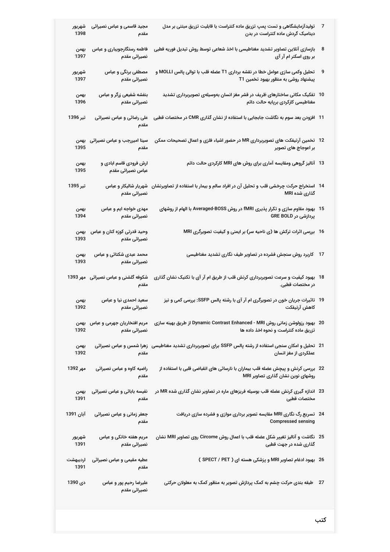| شهريور<br>1398   | مجید قاسمی و عباس نصیرائی<br>مقدم                 | تولیدآزمایشگاهی و تست پمپ تزریق ماده کنتراست با قابلیت تزریق مبتنی بر مدل<br>دینامیک گردش ماده کنتراست در بدن                       |    |
|------------------|---------------------------------------------------|-------------------------------------------------------------------------------------------------------------------------------------|----|
| بهمن<br>1397     | فاطمه رستگارجویباری و عباس<br>نصیرائی مقدم        | بازسازی آنلاین تصاویر تشدید مغناطیسی با اخذ شعاعی توسط روش تبدیل فوریه قطبی<br>بر روی اسکنر ام آر آی                                | 8  |
| شهريور<br>1397   | مصطفی برنگی و عباس<br>نصیرائی مقدم                | تحلیل وکمی سازی عوامل خطا در نقشه برداری T1 عضله قلب با توالی پالس MOLLI و<br>پیشنهاد روشی به منظور بهبود تخمین T1                  | 9  |
| بهمن<br>1396     | بنفشه شفیعی زرگر و عباس<br>نصيرائى مقدم           | 10 ً تفکیک مکانی ساختارهای ظریف در قشر مغز انسان بهوسیلهی تصویربرداری تشدید<br>مغناطیسی کارکردی برپایه حالت دائم                    |    |
| تیر 1396         | علی رضائی و عباس نصیرائی<br>مقدم                  | 11   افزودن بعد سوم به نگاشت جابجایی با استفاده از نشان گذاری CMR در مختصات قطبی                                                    |    |
| 1395             | سینا امیررجب و عباس نصیرائی  بهمن<br>مقدم         | 12   تخمین آرتیفکت های تصویربرداری MR در حضور اشیاء فلزی و اعمال تصحیحات ممکن<br>بر اعوجاج های تصویر                                |    |
| بهمن<br>1395     | ارش فرودی قاسم ابادی و<br>عباس نصيرائى مقدم       | 13   آنالیز گروهی ومقایسه آماری برای روش های MRI کارکردی حالت دائم                                                                  |    |
| تير 1395         | نصيرائى مقدم                                      | 14   استخراج حرکت چرخشی قلب و تحلیل آن در افراد سالم و بیمار با استفاده از تصاویرنشان   شهریار شالیکار و عباس<br>گذاری شده MRI      |    |
| بهمن<br>1394     | مهدی خواجه ایم و عباس<br>نصيرائى مقدم             | بهبود مقاوم سازی و تکرار پذیری fMRI در روش Averaged-BOSS با الهام از روشهای<br>پردازشی در GRE BOLD                                  | 15 |
| بهمن<br>1393     | وحید قدرتی کوزه کنان و عباس<br>نصیرائی مقدم       | 16   بررسی اثرات ترکش ها (ی ناحیه سر) بر ایمنی و کیفیت تصویرگری MRI                                                                 |    |
| بهمن<br>1393     | محمد عبدی شکتائی و عباس<br>نصیرائی مقدم           | کاربرد روش سنجش فشرده در تصاویر طیف نگاری تشدید مغناطیسی                                                                            | 17 |
|                  | شکوفه گلشنی و عباس نصیرائی مهر 1393<br>مقدم       | 18٪ بهبود کیفیت و سرعت تصویربرداری کرنش قلب از طریق ام آر آی با تکنیک نشان گذاری<br>در مختصات قطبی.                                 |    |
| بهمن<br>1392     | سعید احمدی نیا و عباس<br>نصیرائی مقدم             | 19   تاثیرات جریان خون در تصویرگری ام آر آی با رشته پالس SSFP: بررسی کمی و نیز<br>كاهش آرتيفكت                                      |    |
| 1392             | مریم افتخاریان جهرمی و عباس  بهمن<br>نصیرائی مقدم | 20   بهبود رزولوشن زمانی روش Dynamic Contrast Enhanced - MRI از طریق بهینه سازی<br>تزریق ماده کنتراست و نحوه اخذ داده ها            |    |
| بهمن<br>1392     | مقدم                                              | 21   تحلیل و امکان سنجی استفاده از رشته پالس SSFP برای تصویربرداری تشدید مغناطیسی   زهرا شمس و عباس نصیرائی<br>عملکردی از مغز انسان |    |
| مهر 1392         | راضیه کاوه و عباس نصیرائی<br>مقدم                 | 22   بررسی کرنش و پیچش عضله قلب بیماران با نارسائی های انقباضی قلبی با استفاده از<br>روشهای نوین نشان گذاری تصاویر MRI              |    |
| بهمن<br>1391     | نفیسه بابائی و عباس نصیرائی<br>مقدم               | 23   اندازه گیری کرنش عضله قلب بوسیله فریزهای ماره در تصاویر نشان گذاری شده MR در<br>مختصات قطبى                                    |    |
| آبان 1391        | جعفر زمانی و عباس نصیرائی<br>مقدم                 | 24   تسریع رگ نگاری MRI مقایسه تصویر برداری موازی و فشرده سازی دریافت<br><b>Compressed sensing</b>                                  |    |
| شهريور<br>1391   | مریم هفته خانکی و عباس<br>نصیرائی مقدم            | 25   نگاشت و آنالیز تغییر شکل عضله قلب با اعمال روش Circome روی تصاویر MRI نشان<br>گذاری شده در جهت قطبی                            |    |
| ارديبهشت<br>1391 | عطیه مقیمی و عباس نصیرائی<br>مقدم                 | 26   بهبود ادغام تصاویر MRI و پزشکی هسته ای ( SPECT / PET )                                                                         |    |
| دي 1390          | علیرضا رحیم پور و عباس<br>نصیرائی مقدم            | طبقه بندی حرکت چشم به کمک پردازش تصویر به منظور کمک به معلولان حرکتی                                                                | 27 |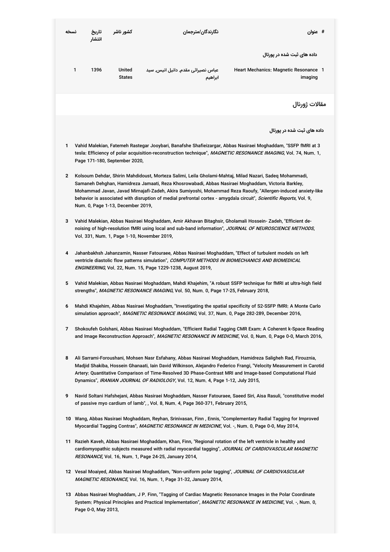| نسخه         |                                                                                                                                                                                                                                                                                                                                                                                                                                    | تاريخ<br>انتشار | کشور ناشر                         |                                    | نگارندگان/مترجمان | # عنوان                                                                                                                                                                                                                                                                                                                                                                                                                                              |  |  |  |
|--------------|------------------------------------------------------------------------------------------------------------------------------------------------------------------------------------------------------------------------------------------------------------------------------------------------------------------------------------------------------------------------------------------------------------------------------------|-----------------|-----------------------------------|------------------------------------|-------------------|------------------------------------------------------------------------------------------------------------------------------------------------------------------------------------------------------------------------------------------------------------------------------------------------------------------------------------------------------------------------------------------------------------------------------------------------------|--|--|--|
|              |                                                                                                                                                                                                                                                                                                                                                                                                                                    |                 |                                   |                                    |                   | داده های ثبت شده در پورتال                                                                                                                                                                                                                                                                                                                                                                                                                           |  |  |  |
|              | 1                                                                                                                                                                                                                                                                                                                                                                                                                                  | 1396            | United<br><b>States</b>           | عباس نصیرائی مقدم, دانیل انیس, سید | ابراهيم           | Heart Mechanics: Magnetic Resonance 1<br>imaging                                                                                                                                                                                                                                                                                                                                                                                                     |  |  |  |
|              |                                                                                                                                                                                                                                                                                                                                                                                                                                    |                 |                                   |                                    |                   | مقالات ژورنال                                                                                                                                                                                                                                                                                                                                                                                                                                        |  |  |  |
|              |                                                                                                                                                                                                                                                                                                                                                                                                                                    |                 |                                   |                                    |                   | داده های ثبت شده در پورتال                                                                                                                                                                                                                                                                                                                                                                                                                           |  |  |  |
| 1            |                                                                                                                                                                                                                                                                                                                                                                                                                                    |                 | Page 171-180, September 2020,     |                                    |                   | Vahid Malekian, Fatemeh Rastegar Jooybari, Banafshe Shafieizargar, Abbas Nasiraei Moghaddam, "SSFP fMRI at 3<br>tesla: Efficiency of polar acquisition-reconstruction technique", MAGNETIC RESONANCE IMAGING, Vol. 74, Num. 1,                                                                                                                                                                                                                       |  |  |  |
| $\mathbf{2}$ |                                                                                                                                                                                                                                                                                                                                                                                                                                    |                 | Num. 0, Page 1-13, December 2019, |                                    |                   | Kolsoum Dehdar, Shirin Mahdidoust, Morteza Salimi, Leila Gholami-Mahtaj, Milad Nazari, Sadeq Mohammadi,<br>Samaneh Dehghan, Hamidreza Jamaati, Reza Khosrowabadi, Abbas Nasiraei Moghaddam, Victoria Barkley,<br>Mohammad Javan, Javad Mirnajafi-Zadeh, Akira Sumiyoshi, Mohammad Reza Raoufy, "Allergen-induced anxiety-like<br>behavior is associated with disruption of medial prefrontal cortex - amygdala circuit", Scientific Reports, Vol. 9, |  |  |  |
| 3            | Vahid Malekian, Abbas Nasiraei Moghaddam, Amir Akhavan Bitaghsir, Gholamali Hossein- Zadeh, "Efficient de-<br>noising of high-resolution fMRI using local and sub-band information", JOURNAL OF NEUROSCIENCE METHODS,<br>Vol. 331, Num. 1, Page 1-10, November 2019,                                                                                                                                                               |                 |                                   |                                    |                   |                                                                                                                                                                                                                                                                                                                                                                                                                                                      |  |  |  |
| 4            | Jahanbakhsh Jahanzamin, Nasser Fatouraee, Abbas Nasiraei Moghaddam, "Effect of turbulent models on left<br>ventricle diastolic flow patterns simulation", COMPUTER METHODS IN BIOMECHANICS AND BIOMEDICAL<br>ENGINEERING, Vol. 22, Num. 15, Page 1229-1238, August 2019,                                                                                                                                                           |                 |                                   |                                    |                   |                                                                                                                                                                                                                                                                                                                                                                                                                                                      |  |  |  |
| 5            | Vahid Malekian, Abbas Nasiraei Moghaddam, Mahdi Khajehim, "A robust SSFP technique for fMRI at ultra-high field<br>strengths", MAGNETIC RESONANCE IMAGING, Vol. 50, Num. 0, Page 17-25, February 2018,                                                                                                                                                                                                                             |                 |                                   |                                    |                   |                                                                                                                                                                                                                                                                                                                                                                                                                                                      |  |  |  |
| 6            | Mahdi Khajehim, Abbas Nasiraei Moghaddam, "Investigating the spatial specificity of S2-SSFP fMRI: A Monte Carlo<br>simulation approach", MAGNETIC RESONANCE IMAGING, Vol. 37, Num. 0, Page 282-289, December 2016,                                                                                                                                                                                                                 |                 |                                   |                                    |                   |                                                                                                                                                                                                                                                                                                                                                                                                                                                      |  |  |  |
| 7            | Shokoufeh Golshani, Abbas Nasiraei Moghaddam, "Efficient Radial Tagging CMR Exam: A Coherent k-Space Reading<br>and Image Reconstruction Approach", MAGNETIC RESONANCE IN MEDICINE, Vol. 0, Num. 0, Page 0-0, March 2016,                                                                                                                                                                                                          |                 |                                   |                                    |                   |                                                                                                                                                                                                                                                                                                                                                                                                                                                      |  |  |  |
| 8            | Ali Sarrami-Foroushani, Mohsen Nasr Esfahany, Abbas Nasiraei Moghaddam, Hamidreza Saligheh Rad, Firouznia,<br>Madjid Shakiba, Hossein Ghanaati, Iain David Wilkinson, Alejandro Federico Frangi, "Velocity Measurement in Carotid<br>Artery: Quantitative Comparison of Time-Resolved 3D Phase-Contrast MRI and Image-based Computational Fluid<br>Dynamics", IRANIAN JOURNAL OF RADIOLOGY, Vol. 12, Num. 4, Page 1-12, July 2015, |                 |                                   |                                    |                   |                                                                                                                                                                                                                                                                                                                                                                                                                                                      |  |  |  |
| 9            | Navid Soltani Hafshejani, Abbas Nasiraei Moghaddam, Nasser Fatouraee, Saeed Siri, Aisa Rasuli, "constitutive model<br>of passive myo cardium of lamb", , Vol. 8, Num. 4, Page 360-371, February 2015,                                                                                                                                                                                                                              |                 |                                   |                                    |                   |                                                                                                                                                                                                                                                                                                                                                                                                                                                      |  |  |  |
|              | 10 Wang, Abbas Nasiraei Moghaddam, Reyhan, Srinivasan, Finn, Ennis, "Complementary Radial Tagging for Improved<br>Myocardial Tagging Contras", <i>MAGNETIC RESONANCE IN MEDICINE</i> , Vol. -, Num. 0, Page 0-0, May 2014,                                                                                                                                                                                                         |                 |                                   |                                    |                   |                                                                                                                                                                                                                                                                                                                                                                                                                                                      |  |  |  |
|              | 11 Razieh Kaveh, Abbas Nasiraei Moghaddam, Khan, Finn, "Regional rotation of the left ventricle in healthy and<br>cardiomyopathic subjects measured with radial myocardial tagging", JOURNAL OF CARDIOVASCULAR MAGNETIC<br>RESONANCE, Vol. 16, Num. 1, Page 24-25, January 2014,                                                                                                                                                   |                 |                                   |                                    |                   |                                                                                                                                                                                                                                                                                                                                                                                                                                                      |  |  |  |
|              | 12 Vesal Moaiyed, Abbas Nasiraei Moghaddam, "Non-uniform polar tagging", JOURNAL OF CARDIOVASCULAR<br>MAGNETIC RESONANCE, Vol. 16, Num. 1, Page 31-32, January 2014,                                                                                                                                                                                                                                                               |                 |                                   |                                    |                   |                                                                                                                                                                                                                                                                                                                                                                                                                                                      |  |  |  |
|              |                                                                                                                                                                                                                                                                                                                                                                                                                                    |                 |                                   |                                    |                   | 13 Abbas Nasiraei Moghaddam, J P. Finn, "Tagging of Cardiac Magnetic Resonance Images in the Polar Coordinate<br>System: Physical Principles and Practical Implementation", MAGNETIC RESONANCE IN MEDICINE, Vol. -, Num. 0,                                                                                                                                                                                                                          |  |  |  |

Page 0-0, May 2013,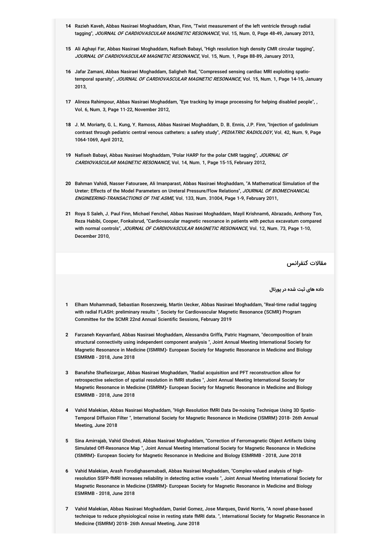- **14** Razieh Kaveh, Abbas Nasiraei Moghaddam, Khan, Finn, "Twist measurement of the left ventricle through radial tagging", JOURNAL OF CARDIOVASCULAR MAGNETIC RESONANCE, Vol. 15, Num. 0, Page 48-49, January 2013,
- **15** Ali Aghayi Far, Abbas Nasiraei Moghaddam, Nafiseh Babayi, "High resolution high density CMR circular tagging", JOURNAL OF CARDIOVASCULAR MAGNETIC RESONANCE, Vol. 15, Num. 1, Page 88-89, January 2013,
- **16** Jafar Zamani, Abbas Nasiraei Moghaddam, Saligheh Rad, "Compressed sensing cardiac MRI exploiting spatiotemporal sparsity", *JOURNAL OF CARDIOVASCULAR MAGNETIC RESONANCE*, Vol. 15, Num. 1, Page 14-15, January 2013,
- **17** Alireza Rahimpour, Abbas Nasiraei Moghaddam, "Eye tracking by image processing for helping disabled people", , Vol. 6, Num. 3, Page 11-22, November 2012,
- **18** J. M. Moriarty, G. L. Kung, Y. Ramoss, Abbas Nasiraei Moghaddam, D. B. Ennis, J.P. Finn, "Injection of gadolinium contrast through pediatric central venous catheters: a safety study", *PEDIATRIC RADIOLOGY*, Vol. 42, Num. 9, Page 1064-1069, April 2012,
- **19** Nafiseh Babayi, Abbas Nasiraei Moghaddam, "Polar HARP for the polar CMR tagging", JOURNAL OF *CARDIOVASCULAR MAGNETIC RESONANCE*, Vol. 14, Num. 1, Page 15-15, February 2012,
- **20** Bahman Vahidi, Nasser Fatouraee, Ali Imanparast, Abbas Nasiraei Moghaddam, "A Mathematical Simulation of the Ureter: Effects of the Model Parameters on Ureteral Pressure/Flow Relations", JOURNAL OF BIOMECHANICAL *ENGINEERING-TRANSACTIONS OF THE ASME*, Vol. 133, Num. 31004, Page 1-9, February 2011,
- **21** Roya S Saleh, J. Paul Finn, Michael Fenchel, Abbas Nasiraei Moghaddam, Mayil Krishnam6, Abrazado, Anthony Ton, Reza Habibi, Cooper, Fonkalsrud, "Cardiovascular magnetic resonance in patients with pectus excavatum compared with normal controls", *JOURNAL OF CARDIOVASCULAR MAGNETIC RESONANCE*, Vol. 12, Num. 73, Page 1-10, December 2010,

مقالات کنفرانس

**داده های ثبت شده در پورتال**

- **1** Elham Mohammadi, Sebastian Rosenzweig, Martin Uecker, Abbas Nasiraei Moghaddam, "Real-time radial tagging with radial FLASH: preliminary results ", Society for Cardiovascular Magnetic Resonance (SCMR) Program Committee for the SCMR 22nd Annual Scientific Sessions, February 2019
- **2** Farzaneh Keyvanfard, Abbas Nasiraei Moghaddam, Alessandra Griffa, Patric Hagmann, "decomposition of brain structural connectivity using independent component analysis ", Joint Annual Meeting International Society for Magnetic Resonance in Medicine (ISMRM)- European Society for Magnetic Resonance in Medicine and Biology ESMRMB - 2018, June 2018
- **3** Banafshe Shafieizargar, Abbas Nasiraei Moghaddam, "Radial acquisition and PFT reconstruction allow for retrospective selection of spatial resolution in fMRI studies ", Joint Annual Meeting International Society for Magnetic Resonance in Medicine (ISMRM)- European Society for Magnetic Resonance in Medicine and Biology ESMRMB - 2018, June 2018
- **4** Vahid Malekian, Abbas Nasiraei Moghaddam, "High Resolution fMRI Data De-noising Technique Using 3D Spatio-Temporal Diffusion Filter ", International Society for Magnetic Resonance in Medicine (ISMRM) 2018- 26th Annual Meeting, June 2018
- **5** Sina Amirrajab, Vahid Ghodrati, Abbas Nasiraei Moghaddam, "Correction of Ferromagnetic Object Artifacts Using Simulated Off-Resonance Map ", Joint Annual Meeting International Society for Magnetic Resonance in Medicine (ISMRM)- European Society for Magnetic Resonance in Medicine and Biology ESMRMB - 2018, June 2018
- **6** Vahid Malekian, Arash Forodighasemabadi, Abbas Nasiraei Moghaddam, "Complex-valued analysis of highresolution SSFP-fMRI increases reliability in detecting active voxels ", Joint Annual Meeting International Society for Magnetic Resonance in Medicine (ISMRM)- European Society for Magnetic Resonance in Medicine and Biology ESMRMB - 2018, June 2018
- **7** Vahid Malekian, Abbas Nasiraei Moghaddam, Daniel Gomez, Jose Marques,ِDavid Norris, "A novel phase-based technique to reduce physiological noise in resting state fMRI data. ", International Society for Magnetic Resonance in Medicine (ISMRM) 2018- 26th Annual Meeting, June 2018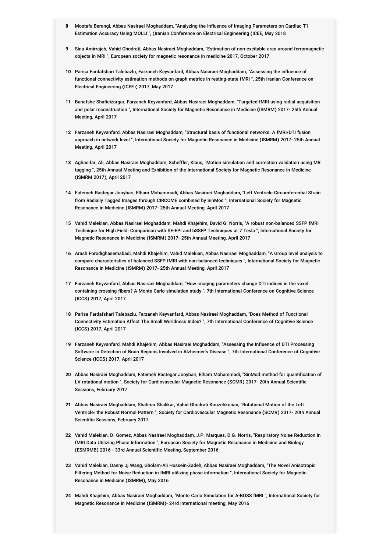- **8** Mostafa Berangi, Abbas Nasiraei Moghaddam, "Analyzing the Influence of Imaging Parameters on Cardiac T1 Estimation Accuracy Using MOLLI ", (Iranian Conference on Electrical Engineering (ICEE, May 2018
- **9** Sina Amirrajab, Vahid Ghodrati, Abbas Nasiraei Moghaddam, "Estimation of non-excitable area around ferromagnetic objects in MRI ", European society for magnetic resonance in medicine 2017, October 2017
- **10** Parisa Fardafshari Talebazlu, Farzaneh Keyvanfard, Abbas Nasiraei Moghaddam, "Assessing the influence of functional connectivity estimation methods on graph metrics in resting-state fMRI ", 25th Iranian Conference on Electrical Engineering (ICEE ( 2017, May 2017
- **11** Banafshe Shafieizargar, Farzaneh Keyvanfard, Abbas Nasiraei Moghaddam, "Targeted fMRI using radial acquisition and polar reconstruction ", International Society for Magnetic Resonance in Medicine (ISMRM) 2017- 25th Annual Meeting, April 2017
- **12** Farzaneh Keyvanfard, Abbas Nasiraei Moghaddam, "Structural basis of functional networks: A fMRI/DTI fusion approach in network level ", International Society for Magnetic Resonance in Medicine (ISMRM) 2017- 25th Annual Meeting, April 2017
- **13** Aghaeifar, Ali, Abbas Nasiraei Moghaddam, Scheffler, Klaus, "Motion simulation and correction validation using MR tagging ", 25th Annual Meeting and Exhibition of the International Society for Magnetic Resonance in Medicine (ISMRM 2017), April 2017
- **14** Fatemeh Rastegar Jooybari, Elham Mohammadi, Abbas Nasiraei Moghaddam, "Left Ventricle Circumferential Strain from Radially Tagged Images through CIRCOME combined by SinMod ", International Society for Magnetic Resonance in Medicine (ISMRM) 2017- 25th Annual Meeting, April 2017
- **15** Vahid Malekian, Abbas Nasiraei Moghaddam, Mahdi Khajehim, David G. Norris, "A robust non-balanced SSFP fMRI Technique for High Field: Comparison with SE-EPI and bSSFP Techniques at 7 Tesla ", International Society for Magnetic Resonance in Medicine (ISMRM) 2017- 25th Annual Meeting, April 2017
- **16** Arash Forodighasemabadi, Mahdi Khajehim, Vahid Malekian, Abbas Nasiraei Moghaddam, "A Group level analysis to compare characteristics of balanced SSFP fMRI with non-balanced techniques ", International Society for Magnetic Resonance in Medicine (ISMRM) 2017- 25th Annual Meeting, April 2017
- **17** Farzaneh Keyvanfard, Abbas Nasiraei Moghaddam, "How imaging parameters change DTI indices in the voxel containing crossing fibers? A Monte Carlo simulation study ", 7th International Conference on Cognitive Science (ICCS) 2017, April 2017
- **18** Parisa Fardafshari Talebazlu, Farzaneh Keyvanfard, Abbas Nasiraei Moghaddam, "Does Method of Functional Connectivity Estimation Affect The Small Worldness Index? ", 7th International Conference of Cognitive Science (ICCS) 2017, April 2017
- **19** Farzaneh Keyvanfard, Mahdi Khajehim, Abbas Nasiraei Moghaddam, "Assessing the Influence of DTI Processing Software in Detection of Brain Regions Involved in Alzheimer's Disease ", 7th International Conference of Cognitive Science (ICCS) 2017, April 2017
- **20** Abbas Nasiraei Moghaddam, Fatemeh Rastegar Jooybari, Elham Mohammadi, "SinMod method for quantification of LV rotational motion ", Society for Cardiovascular Magnetic Resonance (SCMR) 2017- 20th Annual Scientific Sessions, February 2017
- **21** Abbas Nasiraei Moghaddam, Shahriar Shalikar, Vahid Ghodrati Kouzehkonan, "Rotational Motion of the Left Ventricle: the Robust Normal Pattern ", Society for Cardiovascular Magnetic Resonance (SCMR) 2017- 20th Annual Scientific Sessions, February 2017
- **22** Vahid Malekian, D. Gomez, Abbas Nasiraei Moghaddam, J.P. Marques, D.G. Norris, "Respiratory Noise Reduction in fMRI Data Utilizing Phase Information ", European Society for Magnetic Resonance in Medicine and Biology (ESMRMB) 2016 - 33rd Annual Scientific Meeting, September 2016
- **23** Vahid Malekian, Danny Jj Wang, Gholam-Ali Hossein-Zadeh, Abbas Nasiraei Moghaddam, "The Novel Anisotropic Filtering Method for Noise Reduction in fMRI utilizing phase information ", International Society for Magnetic Resonance in Medicine (ISMRM), May 2016
- **24** Mahdi Khajehim, Abbas Nasiraei Moghaddam, "Monte Carlo Simulation for A-BOSS fMRI ", International Society for Magnetic Resonance in Medicine (ISMRM)- 24rd international meeting, May 2016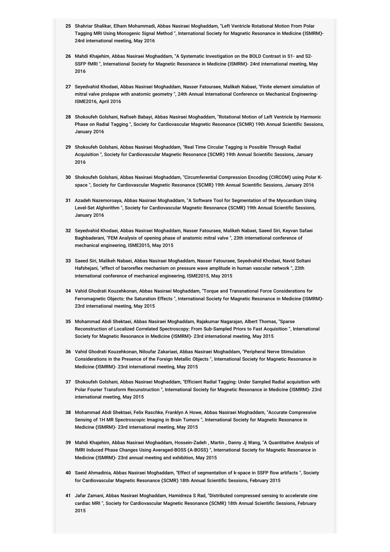- **25** Shahriar Shalikar, Elham Mohammadi, Abbas Nasiraei Moghaddam, "Left Ventricle Rotational Motion From Polar Tagging MRI Using Monogenic Signal Method ", International Society for Magnetic Resonance in Medicine (ISMRM)- 24rd international meeting, May 2016
- **26** Mahdi Khajehim, Abbas Nasiraei Moghaddam, "A Systematic Investigation on the BOLD Contrast in S1- and S2- SSFP fMRI ", International Society for Magnetic Resonance in Medicine (ISMRM)- 24rd international meeting, May 2016
- **27** Seyedvahid Khodaei, Abbas Nasiraei Moghaddam, Nasser Fatouraee, Malikeh Nabaei, "Finite element simulation of mitral valve prolapse with anatomic geometry ", 24th Annual International Conference on Mechanical Engineering-ISME2016, April 2016
- **28** Shokoufeh Golshani, Nafiseh Babayi, Abbas Nasiraei Moghaddam, "Rotational Motion of Left Ventricle by Harmonic Phase on Radial Tagging ", Society for Cardiovascular Magnetic Resonance (SCMR) 19th Annual Scientific Sessions, January 2016
- **29** Shokoufeh Golshani, Abbas Nasiraei Moghaddam, "Real Time Circular Tagging is Possible Through Radial Acquisition ", Society for Cardiovascular Magnetic Resonance (SCMR) 19th Annual Scientific Sessions, January 2016
- **30** Shokoufeh Golshani, Abbas Nasiraei Moghaddam, "Circumferential Compression Encoding (CIRCOM) using Polar Kspace ", Society for Cardiovascular Magnetic Resonance (SCMR) 19th Annual Scientific Sessions, January 2016
- **31** Azadeh Nazemoroaya, Abbas Nasiraei Moghaddam, "A Software Tool for Segmentation of the Myocardium Using Level-Set Alghorithm ", Society for Cardiovascular Magnetic Resonance (SCMR) 19th Annual Scientific Sessions, January 2016
- **32** Seyedvahid Khodaei, Abbas Nasiraei Moghaddam, Nasser Fatouraee, Malikeh Nabaei, Saeed Siri, Keyvan Safaei Baghbaderani, "FEM Analysis of opening phase of anatomic mitral valve ", 23th international conference of mechanical engineering, ISME2015, May 2015
- **33** Saeed Siri, Malikeh Nabaei, Abbas Nasiraei Moghaddam, Nasser Fatouraee, Seyedvahid Khodaei, Navid Soltani Hafshejani, "effect of baroreflex mechanism on pressure wave amplitude in human vascular network ", 23th international conference of mechanical engineering, ISME2015, May 2015
- **34** Vahid Ghodrati Kouzehkonan, Abbas Nasiraei Moghaddam, "Torque and Transnational Force Considerations for Ferromagnetic Objects: the Saturation Effects ", International Society for Magnetic Resonance in Medicine (ISMRM)- 23rd international meeting, May 2015
- **35** Mohammad Abdi Shektaei, Abbas Nasiraei Moghaddam, Rajakumar Nagarajan, Albert Thomas, "Sparse Reconstruction of Localized Correlated Spectroscopy: From Sub-Sampled Priors to Fast Acquisition ", International Society for Magnetic Resonance in Medicine (ISMRM)- 23rd international meeting, May 2015
- **36** Vahid Ghodrati Kouzehkonan, Niloufar Zakariaei, Abbas Nasiraei Moghaddam, "Peripheral Nerve Stimulation Considerations in the Presence of the Foreign Metallic Objects ", International Society for Magnetic Resonance in Medicine (ISMRM)- 23rd international meeting, May 2015
- **37** Shokoufeh Golshani, Abbas Nasiraei Moghaddam, "Efficient Radial Tagging: Under Sampled Radial acquisition with Polar Fourier Transform Recunstruction ", International Society for Magnetic Resonance in Medicine (ISMRM)- 23rd international meeting, May 2015
- **38** Mohammad Abdi Shektaei, Felix Raschke, Franklyn A Howe, Abbas Nasiraei Moghaddam, "Accurate Compressive Sensing of 1H MR Spectroscopic Imaging in Brain Tumors ", International Society for Magnetic Resonance in Medicine (ISMRM)- 23rd international meeting, May 2015
- **39** Mahdi Khajehim, Abbas Nasiraei Moghaddam, Hossein-Zadeh , Martin , Danny Jj Wang, "A Quantitative Analysis of fMRI Induced Phase Changes Using Averaged-BOSS (A-BOSS) ", International Society for Magnetic Resonance in Medicine (ISMRM)- 23rd annual meeting and exhibition, May 2015
- **40** Saeid Ahmadinia, Abbas Nasiraei Moghaddam, "Effect of segmentation of k-space in SSFP flow artifacts ", Society for Cardiovascular Magnetic Resonance (SCMR) 18th Annual Scientific Sessions, February 2015
- **41** Jafar Zamani, Abbas Nasiraei Moghaddam, Hamidreza S Rad, "Distributed compressed sensing to accelerate cine cardiac MRI ", Society for Cardiovascular Magnetic Resonance (SCMR) 18th Annual Scientific Sessions, February 2015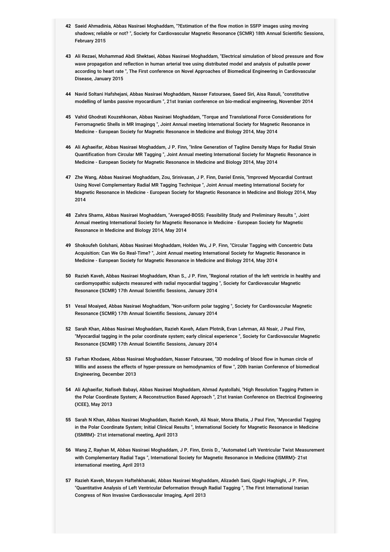- **42** Saeid Ahmadinia, Abbas Nasiraei Moghaddam, "?Estimation of the flow motion in SSFP images using moving shadows; reliable or not? ", Society for Cardiovascular Magnetic Resonance (SCMR) 18th Annual Scientific Sessions, February 2015
- **43** Ali Rezaei, Mohammad Abdi Shektaei, Abbas Nasiraei Moghaddam, "Electrical simulation of blood pressure and flow wave propagation and reflection in human arterial tree using distributed model and analysis of pulsatile power according to heart rate ", The First conference on Novel Approaches of Biomedical Engineering in Cardiovascular Disease, January 2015
- **44** Navid Soltani Hafshejani, Abbas Nasiraei Moghaddam, Nasser Fatouraee, Saeed Siri, Aisa Rasuli, "constitutive modelling of lambs passive myocardium ", 21st Iranian conference on bio-medical engineering, November 2014
- **45** Vahid Ghodrati Kouzehkonan, Abbas Nasiraei Moghaddam, "Torque and Translational Force Considerations for Ferromagnetic Shells in MR Imagingq ", Joint Annual meeting International Society for Magnetic Resonance in Medicine - European Society for Magnetic Resonance in Medicine and Biology 2014, May 2014
- **46** Ali Aghaeifar, Abbas Nasiraei Moghaddam, J P. Finn, "Inline Generation of Tagline Density Maps for Radial Strain Quantification from Circular MR Tagging ", Joint Annual meeting International Society for Magnetic Resonance in Medicine - European Society for Magnetic Resonance in Medicine and Biology 2014, May 2014
- **47** Zhe Wang, Abbas Nasiraei Moghaddam, Zou, Srinivasan, J P. Finn, Daniel Ennis, "Improved Myocardial Contrast Using Novel Complementary Radial MR Tagging Technique ", Joint Annual meeting International Society for Magnetic Resonance in Medicine - European Society for Magnetic Resonance in Medicine and Biology 2014, May 2014
- **48** Zahra Shams, Abbas Nasiraei Moghaddam, "Averaged-BOSS: Feasibility Study and Preliminary Results ", Joint Annual meeting International Society for Magnetic Resonance in Medicine - European Society for Magnetic Resonance in Medicine and Biology 2014, May 2014
- **49** Shokoufeh Golshani, Abbas Nasiraei Moghaddam, Holden Wu, J P. Finn, "Circular Tagging with Concentric Data Acquisition: Can We Go Real-Time? ", Joint Annual meeting International Society for Magnetic Resonance in Medicine - European Society for Magnetic Resonance in Medicine and Biology 2014, May 2014
- **50** Razieh Kaveh, Abbas Nasiraei Moghaddam, Khan S., J P. Finn, "Regional rotation of the left ventricle in healthy and cardiomyopathic subjects measured with radial myocardial tagging ", Society for Cardiovascular Magnetic Resonance (SCMR) 17th Annual Scientific Sessions, January 2014
- **51** Vesal Moaiyed, Abbas Nasiraei Moghaddam, "Non-uniform polar tagging ", Society for Cardiovascular Magnetic Resonance (SCMR) 17th Annual Scientific Sessions, January 2014
- **52** Sarah Khan, Abbas Nasiraei Moghaddam, Razieh Kaveh, Adam Plotnik, Evan Lehrman, Ali Nsair, J Paul Finn, "Myocardial tagging in the polar coordinate system; early clinical experience ", Society for Cardiovascular Magnetic Resonance (SCMR) 17th Annual Scientific Sessions, January 2014
- **53** Farhan Khodaee, Abbas Nasiraei Moghaddam, Nasser Fatouraee, "3D modeling of blood flow in human circle of Willis and assess the effects of hyper-pressure on hemodynamics of flow ", 20th Iranian Conference of biomedical Engineering, December 2013
- **54** Ali Aghaeifar, Nafiseh Babayi, Abbas Nasiraei Moghaddam, Ahmad Ayatollahi, "High Resolution Tagging Pattern in the Polar Coordinate System; A Reconstruction Based Approach ", 21st Iranian Conference on Electrical Engineering (ICEE), May 2013
- **55** Sarah N Khan, Abbas Nasiraei Moghaddam, Razieh Kaveh, Ali Nsair, Mona Bhatia, J Paul Finn, "Myocardial Tagging in the Polar Coordinate System; Initial Clinical Results ", International Society for Magnetic Resonance in Medicine (ISMRM)- 21st international meeting, April 2013
- **56** Wang Z, Rayhan M, Abbas Nasiraei Moghaddam, J P. Finn, Ennis D., "Automated Left Ventricular Twist Measurement with Complementary Radial Tags ", International Society for Magnetic Resonance in Medicine (ISMRM)- 21st international meeting, April 2013
- **57** Razieh Kaveh, Maryam Haftehkhanaki, Abbas Nasiraei Moghaddam, Alizadeh Sani, Ojaghi Haghighi, J P. Finn, "Quantitative Analysis of Left Ventricular Deformation through Radial Tagging ", The First International Iranian Congress of Non Invasive Cardiovascular Imaging, April 2013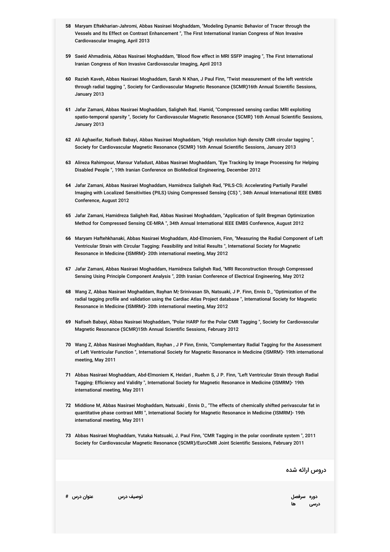- **58** Maryam Eftekharian-Jahromi, Abbas Nasiraei Moghaddam, "Modeling Dynamic Behavior of Tracer through the Vessels and Its Effect on Contrast Enhancement ", The First International Iranian Congress of Non Invasive Cardiovascular Imaging, April 2013
- **59** Saeid Ahmadinia, Abbas Nasiraei Moghaddam, "Blood flow effect in MRI SSFP imaging ", The First International Iranian Congress of Non Invasive Cardiovascular Imaging, April 2013
- **60** Razieh Kaveh, Abbas Nasiraei Moghaddam, Sarah N Khan, J Paul Finn, "Twist measurement of the left ventricle through radial tagging ", Society for Cardiovascular Magnetic Resonance (SCMR)16th Annual Scientific Sessions, January 2013
- **61** Jafar Zamani, Abbas Nasiraei Moghaddam, Saligheh Rad. Hamid, "Compressed sensing cardiac MRI exploiting spatio-temporal sparsity ", Society for Cardiovascular Magnetic Resonance (SCMR) 16th Annual Scientific Sessions, January 2013
- **62** Ali Aghaeifar, Nafiseh Babayi, Abbas Nasiraei Moghaddam, "High resolution high density CMR circular tagging ", Society for Cardiovascular Magnetic Resonance (SCMR) 16th Annual Scientific Sessions, January 2013
- **63** Alireza Rahimpour, Mansur Vafadust, Abbas Nasiraei Moghaddam, "Eye Tracking by Image Processing for Helping Disabled People ", 19th Iranian Conference on BioMedical Engineering, December 2012
- **64** Jafar Zamani, Abbas Nasiraei Moghaddam, Hamidreza Saligheh Rad, "PILS-CS: Accelerating Partially Parallel Imaging with Localized Sensitivities (PILS) Using Compressed Sensing (CS) ", 34th Annual International IEEE EMBS Conference, August 2012
- **65** Jafar Zamani, Hamidreza Saligheh Rad, Abbas Nasiraei Moghaddam, "Application of Split Bregman Optimization Method for Compressed Sensing CE-MRA ", 34th Annual International IEEE EMBS Conference, August 2012
- **66** Maryam Haftehkhanaki, Abbas Nasiraei Moghaddam, Abd-Elmoniem, Finn, "Measuring the Radial Component of Left Ventricular Strain with Circular Tagging: Feasibility and Initial Results ", International Society for Magnetic Resonance in Medicine (ISMRM)- 20th international meeting, May 2012
- **67** Jafar Zamani, Abbas Nasiraei Moghaddam, Hamidreza Saligheh Rad, "MRI Reconstruction through Compressed Sensing Using Principle Component Analysis ", 20th Iranian Conference of Electrical Engineering, May 2012
- 68 Wang Z, Abbas Nasiraei Moghaddam, Rayhan M, Srinivasan Sh, Natsuaki, J P. Finn, Ennis D., "Optimization of the<br>. radial tagging profile and validation using the Cardiac Atlas Project database ", International Society for Magnetic Resonance in Medicine (ISMRM)- 20th international meeting, May 2012
- **69** Nafiseh Babayi, Abbas Nasiraei Moghaddam, "Polar HARP for the Polar CMR Tagging ", Society for Cardiovascular Magnetic Resonance (SCMR)15th Annual Scientific Sessions, February 2012
- **70** Wang Z, Abbas Nasiraei Moghaddam, Rayhan , J P Finn, Ennis, "Complementary Radial Tagging for the Assessment of Left Ventricular Function ", International Society for Magnetic Resonance in Medicine (ISMRM)- 19th international meeting, May 2011
- **71** Abbas Nasiraei Moghaddam, Abd-Elmoniem K, Heidari , Ruehm S, J P. Finn, "Left Ventricular Strain through Radial Tagging: Efficiency and Validity ", International Society for Magnetic Resonance in Medicine (ISMRM)- 19th international meeting, May 2011
- **72** Middione M, Abbas Nasiraei Moghaddam, Natsuaki , Ennis D., "The effects of chemically shifted perivascular fat in quantitative phase contrast MRI ", International Society for Magnetic Resonance in Medicine (ISMRM)- 19th international meeting, May 2011
- **73** Abbas Nasiraei Moghaddam, Yutaka Natsuaki, J. Paul Finn, "CMR Tagging in the polar coordinate system ", 2011 Society for Cardiovascular Magnetic Resonance (SCMR)/EuroCMR Joint Scientific Sessions, February 2011

دروس ارائه شده

**سرفصل توصیف درس عنوان درس #**

**ها دوره درسی**